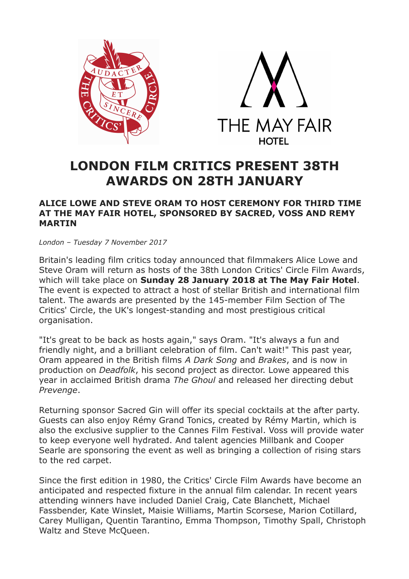



# **LONDON FILM CRITICS PRESENT 38TH AWARDS ON 28TH JANUARY**

# **ALICE LOWE AND STEVE ORAM TO HOST CEREMONY FOR THIRD TIME AT THE MAY FAIR HOTEL, SPONSORED BY SACRED, VOSS AND REMY MARTIN**

*London – Tuesday 7 November 2017*

Britain's leading film critics today announced that filmmakers Alice Lowe and Steve Oram will return as hosts of the 38th London Critics' Circle Film Awards, which will take place on **Sunday 28 January 2018 at The May Fair Hotel**. The event is expected to attract a host of stellar British and international film talent. The awards are presented by the 145-member Film Section of The Critics' Circle, the UK's longest-standing and most prestigious critical organisation.

"It's great to be back as hosts again," says Oram. "It's always a fun and friendly night, and a brilliant celebration of film. Can't wait!" This past year, Oram appeared in the British films *A Dark Song* and *Brakes*, and is now in production on *Deadfolk*, his second project as director. Lowe appeared this year in acclaimed British drama *The Ghoul* and released her directing debut *Prevenge*.

Returning sponsor Sacred Gin will offer its special cocktails at the after party. Guests can also enjoy Rémy Grand Tonics, created by Rémy Martin, which is also the exclusive supplier to the Cannes Film Festival. Voss will provide water to keep everyone well hydrated. And talent agencies Millbank and Cooper Searle are sponsoring the event as well as bringing a collection of rising stars to the red carpet.

Since the first edition in 1980, the Critics' Circle Film Awards have become an anticipated and respected fixture in the annual film calendar. In recent years attending winners have included Daniel Craig, Cate Blanchett, Michael Fassbender, Kate Winslet, Maisie Williams, Martin Scorsese, Marion Cotillard, Carey Mulligan, Quentin Tarantino, Emma Thompson, Timothy Spall, Christoph Waltz and Steve McQueen.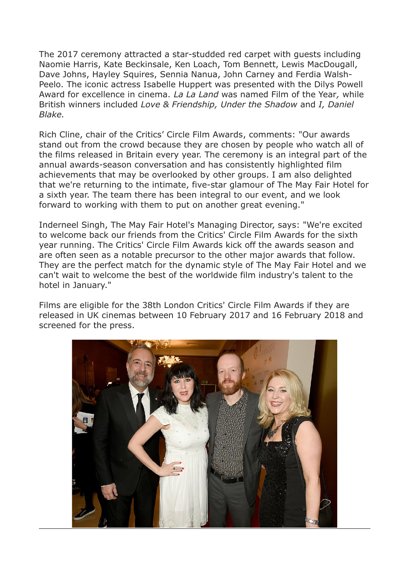The 2017 ceremony attracted a star-studded red carpet with guests including Naomie Harris, Kate Beckinsale, Ken Loach, Tom Bennett, Lewis MacDougall, Dave Johns, Hayley Squires, Sennia Nanua, John Carney and Ferdia Walsh-Peelo. The iconic actress Isabelle Huppert was presented with the Dilys Powell Award for excellence in cinema. *La La Land* was named Film of the Year*,* while British winners included *Love & Friendship, Under the Shadow* and *I, Daniel Blake.*

Rich Cline, chair of the Critics' Circle Film Awards, comments: "Our awards stand out from the crowd because they are chosen by people who watch all of the films released in Britain every year. The ceremony is an integral part of the annual awards-season conversation and has consistently highlighted film achievements that may be overlooked by other groups. I am also delighted that we're returning to the intimate, five-star glamour of The May Fair Hotel for a sixth year. The team there has been integral to our event, and we look forward to working with them to put on another great evening."

Inderneel Singh, The May Fair Hotel's Managing Director, says: "We're excited to welcome back our friends from the Critics' Circle Film Awards for the sixth year running. The Critics' Circle Film Awards kick off the awards season and are often seen as a notable precursor to the other major awards that follow. They are the perfect match for the dynamic style of The May Fair Hotel and we can't wait to welcome the best of the worldwide film industry's talent to the hotel in January."

Films are eligible for the 38th London Critics' Circle Film Awards if they are released in UK cinemas between 10 February 2017 and 16 February 2018 and screened for the press.